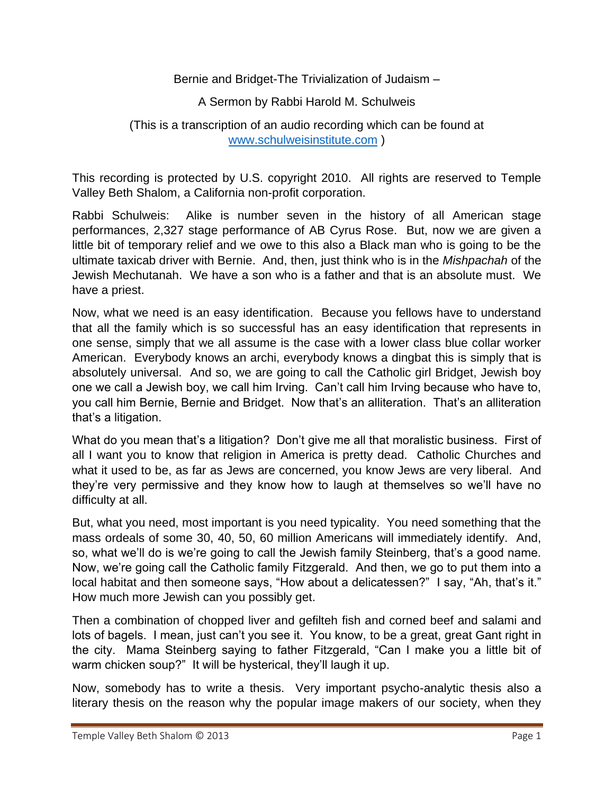## Bernie and Bridget-The Trivialization of Judaism –

## A Sermon by Rabbi Harold M. Schulweis

## (This is a transcription of an audio recording which can be found at [www.schulweisinstitute.com](http://www.schulweisinstitute.com/) )

This recording is protected by U.S. copyright 2010. All rights are reserved to Temple Valley Beth Shalom, a California non-profit corporation.

Rabbi Schulweis: Alike is number seven in the history of all American stage performances, 2,327 stage performance of AB Cyrus Rose. But, now we are given a little bit of temporary relief and we owe to this also a Black man who is going to be the ultimate taxicab driver with Bernie. And, then, just think who is in the *Mishpachah* of the Jewish Mechutanah. We have a son who is a father and that is an absolute must. We have a priest.

Now, what we need is an easy identification. Because you fellows have to understand that all the family which is so successful has an easy identification that represents in one sense, simply that we all assume is the case with a lower class blue collar worker American. Everybody knows an archi, everybody knows a dingbat this is simply that is absolutely universal. And so, we are going to call the Catholic girl Bridget, Jewish boy one we call a Jewish boy, we call him Irving. Can't call him Irving because who have to, you call him Bernie, Bernie and Bridget. Now that's an alliteration. That's an alliteration that's a litigation.

What do you mean that's a litigation? Don't give me all that moralistic business. First of all I want you to know that religion in America is pretty dead. Catholic Churches and what it used to be, as far as Jews are concerned, you know Jews are very liberal. And they're very permissive and they know how to laugh at themselves so we'll have no difficulty at all.

But, what you need, most important is you need typicality. You need something that the mass ordeals of some 30, 40, 50, 60 million Americans will immediately identify. And, so, what we'll do is we're going to call the Jewish family Steinberg, that's a good name. Now, we're going call the Catholic family Fitzgerald. And then, we go to put them into a local habitat and then someone says, "How about a delicatessen?" I say, "Ah, that's it." How much more Jewish can you possibly get.

Then a combination of chopped liver and gefilteh fish and corned beef and salami and lots of bagels. I mean, just can't you see it. You know, to be a great, great Gant right in the city. Mama Steinberg saying to father Fitzgerald, "Can I make you a little bit of warm chicken soup?" It will be hysterical, they'll laugh it up.

Now, somebody has to write a thesis. Very important psycho-analytic thesis also a literary thesis on the reason why the popular image makers of our society, when they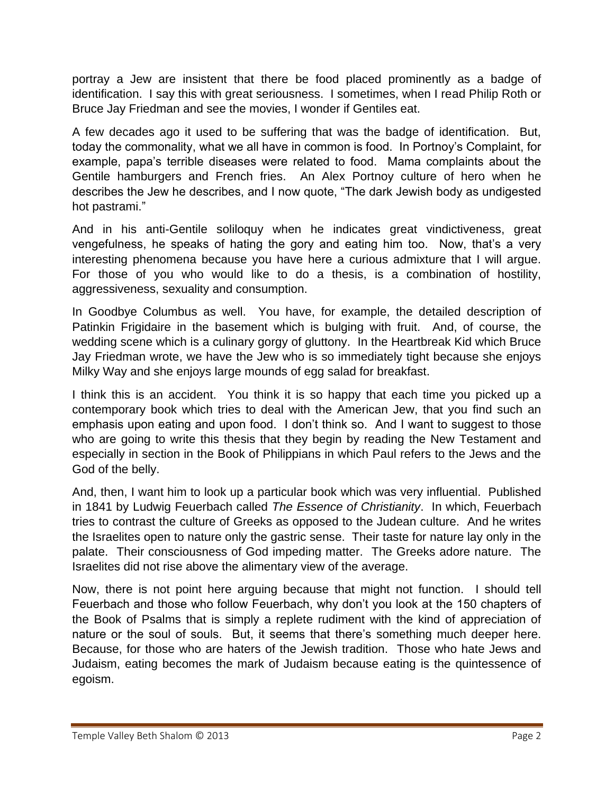portray a Jew are insistent that there be food placed prominently as a badge of identification. I say this with great seriousness. I sometimes, when I read Philip Roth or Bruce Jay Friedman and see the movies, I wonder if Gentiles eat.

A few decades ago it used to be suffering that was the badge of identification. But, today the commonality, what we all have in common is food. In Portnoy's Complaint, for example, papa's terrible diseases were related to food. Mama complaints about the Gentile hamburgers and French fries. An Alex Portnoy culture of hero when he describes the Jew he describes, and I now quote, "The dark Jewish body as undigested hot pastrami."

And in his anti-Gentile soliloquy when he indicates great vindictiveness, great vengefulness, he speaks of hating the gory and eating him too. Now, that's a very interesting phenomena because you have here a curious admixture that I will argue. For those of you who would like to do a thesis, is a combination of hostility, aggressiveness, sexuality and consumption.

In Goodbye Columbus as well. You have, for example, the detailed description of Patinkin Frigidaire in the basement which is bulging with fruit. And, of course, the wedding scene which is a culinary gorgy of gluttony. In the Heartbreak Kid which Bruce Jay Friedman wrote, we have the Jew who is so immediately tight because she enjoys Milky Way and she enjoys large mounds of egg salad for breakfast.

I think this is an accident. You think it is so happy that each time you picked up a contemporary book which tries to deal with the American Jew, that you find such an emphasis upon eating and upon food. I don't think so. And I want to suggest to those who are going to write this thesis that they begin by reading the New Testament and especially in section in the Book of Philippians in which Paul refers to the Jews and the God of the belly.

And, then, I want him to look up a particular book which was very influential. Published in 1841 by Ludwig Feuerbach called *The Essence of Christianity*. In which, Feuerbach tries to contrast the culture of Greeks as opposed to the Judean culture. And he writes the Israelites open to nature only the gastric sense. Their taste for nature lay only in the palate. Their consciousness of God impeding matter. The Greeks adore nature. The Israelites did not rise above the alimentary view of the average.

Now, there is not point here arguing because that might not function. I should tell Feuerbach and those who follow Feuerbach, why don't you look at the 150 chapters of the Book of Psalms that is simply a replete rudiment with the kind of appreciation of nature or the soul of souls. But, it seems that there's something much deeper here. Because, for those who are haters of the Jewish tradition. Those who hate Jews and Judaism, eating becomes the mark of Judaism because eating is the quintessence of egoism.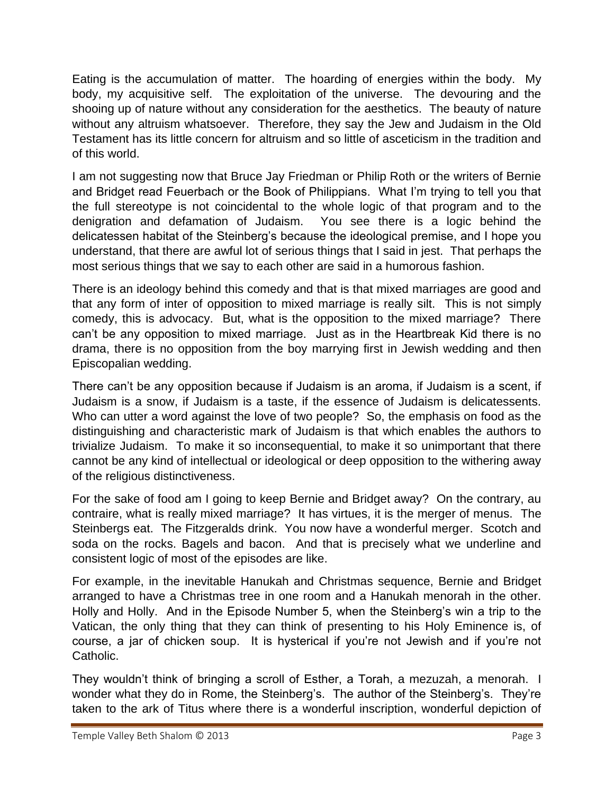Eating is the accumulation of matter. The hoarding of energies within the body. My body, my acquisitive self. The exploitation of the universe. The devouring and the shooing up of nature without any consideration for the aesthetics. The beauty of nature without any altruism whatsoever. Therefore, they say the Jew and Judaism in the Old Testament has its little concern for altruism and so little of asceticism in the tradition and of this world.

I am not suggesting now that Bruce Jay Friedman or Philip Roth or the writers of Bernie and Bridget read Feuerbach or the Book of Philippians. What I'm trying to tell you that the full stereotype is not coincidental to the whole logic of that program and to the denigration and defamation of Judaism. You see there is a logic behind the delicatessen habitat of the Steinberg's because the ideological premise, and I hope you understand, that there are awful lot of serious things that I said in jest. That perhaps the most serious things that we say to each other are said in a humorous fashion.

There is an ideology behind this comedy and that is that mixed marriages are good and that any form of inter of opposition to mixed marriage is really silt. This is not simply comedy, this is advocacy. But, what is the opposition to the mixed marriage? There can't be any opposition to mixed marriage. Just as in the Heartbreak Kid there is no drama, there is no opposition from the boy marrying first in Jewish wedding and then Episcopalian wedding.

There can't be any opposition because if Judaism is an aroma, if Judaism is a scent, if Judaism is a snow, if Judaism is a taste, if the essence of Judaism is delicatessents. Who can utter a word against the love of two people? So, the emphasis on food as the distinguishing and characteristic mark of Judaism is that which enables the authors to trivialize Judaism. To make it so inconsequential, to make it so unimportant that there cannot be any kind of intellectual or ideological or deep opposition to the withering away of the religious distinctiveness.

For the sake of food am I going to keep Bernie and Bridget away? On the contrary, au contraire, what is really mixed marriage? It has virtues, it is the merger of menus. The Steinbergs eat. The Fitzgeralds drink. You now have a wonderful merger. Scotch and soda on the rocks. Bagels and bacon. And that is precisely what we underline and consistent logic of most of the episodes are like.

For example, in the inevitable Hanukah and Christmas sequence, Bernie and Bridget arranged to have a Christmas tree in one room and a Hanukah menorah in the other. Holly and Holly. And in the Episode Number 5, when the Steinberg's win a trip to the Vatican, the only thing that they can think of presenting to his Holy Eminence is, of course, a jar of chicken soup. It is hysterical if you're not Jewish and if you're not Catholic.

They wouldn't think of bringing a scroll of Esther, a Torah, a mezuzah, a menorah. I wonder what they do in Rome, the Steinberg's. The author of the Steinberg's. They're taken to the ark of Titus where there is a wonderful inscription, wonderful depiction of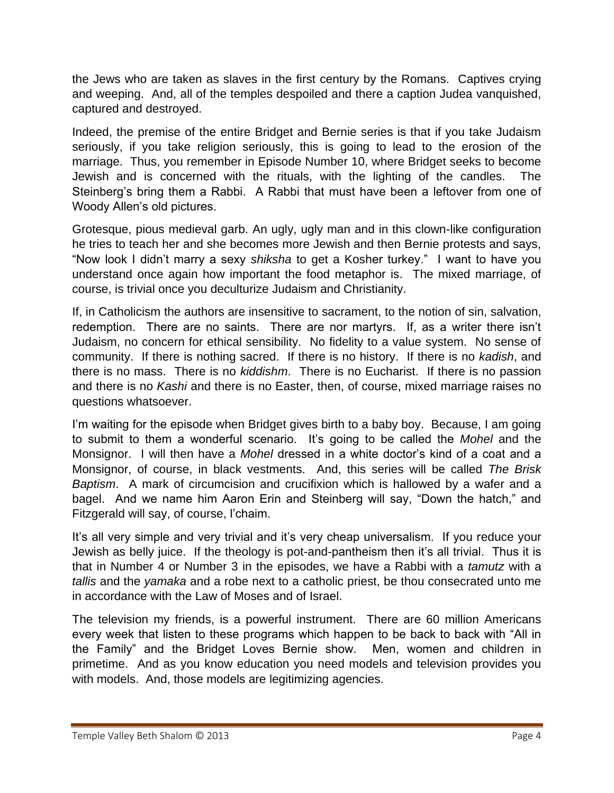the Jews who are taken as slaves in the first century by the Romans. Captives crying and weeping. And, all of the temples despoiled and there a caption Judea vanquished, captured and destroyed.

Indeed, the premise of the entire Bridget and Bernie series is that if you take Judaism seriously, if you take religion seriously, this is going to lead to the erosion of the marriage. Thus, you remember in Episode Number 10, where Bridget seeks to become Jewish and is concerned with the rituals, with the lighting of the candles. The Steinberg's bring them a Rabbi. A Rabbi that must have been a leftover from one of Woody Allen's old pictures.

Grotesque, pious medieval garb. An ugly, ugly man and in this clown-like configuration he tries to teach her and she becomes more Jewish and then Bernie protests and says, "Now look I didn't marry a sexy *shiksha* to get a Kosher turkey." I want to have you understand once again how important the food metaphor is. The mixed marriage, of course, is trivial once you deculturize Judaism and Christianity.

If, in Catholicism the authors are insensitive to sacrament, to the notion of sin, salvation, redemption. There are no saints. There are nor martyrs. If, as a writer there isn't Judaism, no concern for ethical sensibility. No fidelity to a value system. No sense of community. If there is nothing sacred. If there is no history. If there is no *kadish*, and there is no mass. There is no *kiddishm*. There is no Eucharist. If there is no passion and there is no *Kashi* and there is no Easter, then, of course, mixed marriage raises no questions whatsoever.

I'm waiting for the episode when Bridget gives birth to a baby boy. Because, I am going to submit to them a wonderful scenario. It's going to be called the *Mohel* and the Monsignor. I will then have a *Mohel* dressed in a white doctor's kind of a coat and a Monsignor, of course, in black vestments. And, this series will be called *The Brisk Baptism*. A mark of circumcision and crucifixion which is hallowed by a wafer and a bagel. And we name him Aaron Erin and Steinberg will say, "Down the hatch," and Fitzgerald will say, of course, l'chaim.

It's all very simple and very trivial and it's very cheap universalism. If you reduce your Jewish as belly juice. If the theology is pot-and-pantheism then it's all trivial. Thus it is that in Number 4 or Number 3 in the episodes, we have a Rabbi with a *tamutz* with a *tallis* and the *yamaka* and a robe next to a catholic priest, be thou consecrated unto me in accordance with the Law of Moses and of Israel.

The television my friends, is a powerful instrument. There are 60 million Americans every week that listen to these programs which happen to be back to back with "All in the Family" and the Bridget Loves Bernie show. Men, women and children in primetime. And as you know education you need models and television provides you with models. And, those models are legitimizing agencies.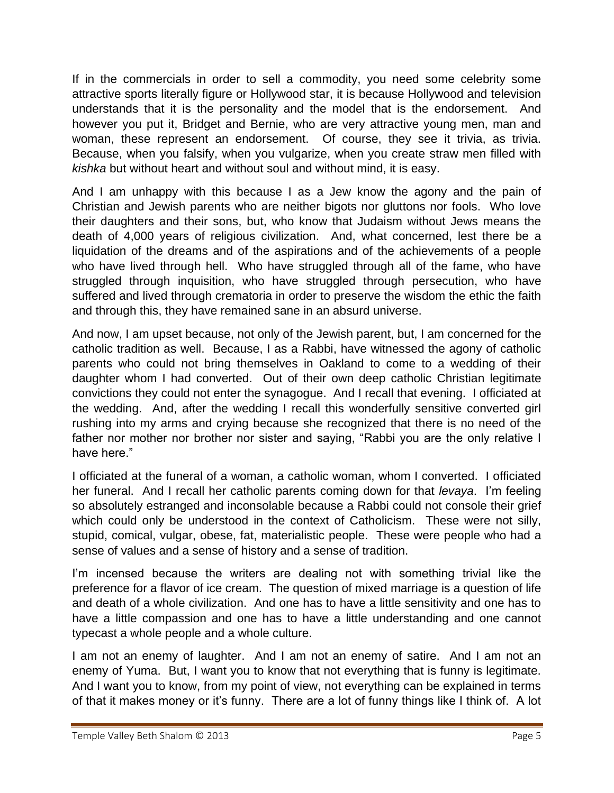If in the commercials in order to sell a commodity, you need some celebrity some attractive sports literally figure or Hollywood star, it is because Hollywood and television understands that it is the personality and the model that is the endorsement. And however you put it, Bridget and Bernie, who are very attractive young men, man and woman, these represent an endorsement. Of course, they see it trivia, as trivia. Because, when you falsify, when you vulgarize, when you create straw men filled with *kishka* but without heart and without soul and without mind, it is easy.

And I am unhappy with this because I as a Jew know the agony and the pain of Christian and Jewish parents who are neither bigots nor gluttons nor fools. Who love their daughters and their sons, but, who know that Judaism without Jews means the death of 4,000 years of religious civilization. And, what concerned, lest there be a liquidation of the dreams and of the aspirations and of the achievements of a people who have lived through hell. Who have struggled through all of the fame, who have struggled through inquisition, who have struggled through persecution, who have suffered and lived through crematoria in order to preserve the wisdom the ethic the faith and through this, they have remained sane in an absurd universe.

And now, I am upset because, not only of the Jewish parent, but, I am concerned for the catholic tradition as well. Because, I as a Rabbi, have witnessed the agony of catholic parents who could not bring themselves in Oakland to come to a wedding of their daughter whom I had converted. Out of their own deep catholic Christian legitimate convictions they could not enter the synagogue. And I recall that evening. I officiated at the wedding. And, after the wedding I recall this wonderfully sensitive converted girl rushing into my arms and crying because she recognized that there is no need of the father nor mother nor brother nor sister and saying, "Rabbi you are the only relative I have here."

I officiated at the funeral of a woman, a catholic woman, whom I converted. I officiated her funeral. And I recall her catholic parents coming down for that *levaya*. I'm feeling so absolutely estranged and inconsolable because a Rabbi could not console their grief which could only be understood in the context of Catholicism. These were not silly, stupid, comical, vulgar, obese, fat, materialistic people. These were people who had a sense of values and a sense of history and a sense of tradition.

I'm incensed because the writers are dealing not with something trivial like the preference for a flavor of ice cream. The question of mixed marriage is a question of life and death of a whole civilization. And one has to have a little sensitivity and one has to have a little compassion and one has to have a little understanding and one cannot typecast a whole people and a whole culture.

I am not an enemy of laughter. And I am not an enemy of satire. And I am not an enemy of Yuma. But, I want you to know that not everything that is funny is legitimate. And I want you to know, from my point of view, not everything can be explained in terms of that it makes money or it's funny. There are a lot of funny things like I think of. A lot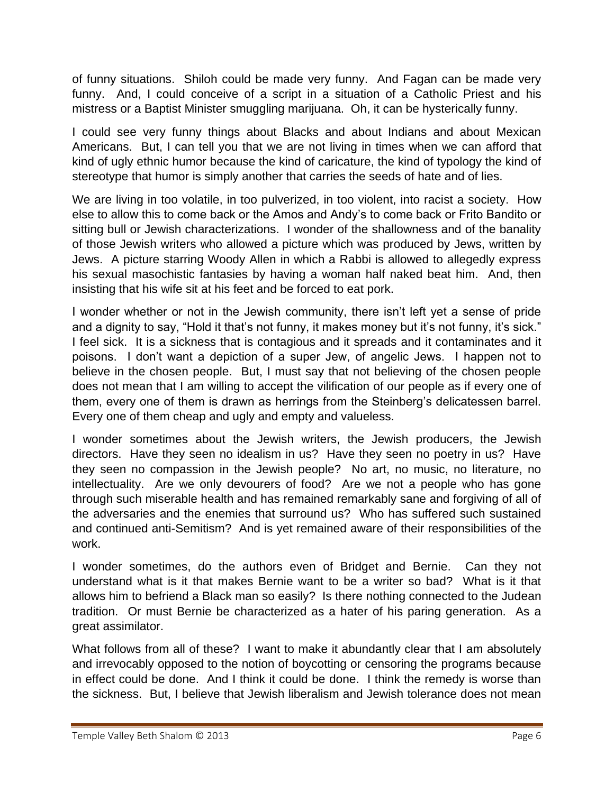of funny situations. Shiloh could be made very funny. And Fagan can be made very funny. And, I could conceive of a script in a situation of a Catholic Priest and his mistress or a Baptist Minister smuggling marijuana. Oh, it can be hysterically funny.

I could see very funny things about Blacks and about Indians and about Mexican Americans. But, I can tell you that we are not living in times when we can afford that kind of ugly ethnic humor because the kind of caricature, the kind of typology the kind of stereotype that humor is simply another that carries the seeds of hate and of lies.

We are living in too volatile, in too pulverized, in too violent, into racist a society. How else to allow this to come back or the Amos and Andy's to come back or Frito Bandito or sitting bull or Jewish characterizations. I wonder of the shallowness and of the banality of those Jewish writers who allowed a picture which was produced by Jews, written by Jews. A picture starring Woody Allen in which a Rabbi is allowed to allegedly express his sexual masochistic fantasies by having a woman half naked beat him. And, then insisting that his wife sit at his feet and be forced to eat pork.

I wonder whether or not in the Jewish community, there isn't left yet a sense of pride and a dignity to say, "Hold it that's not funny, it makes money but it's not funny, it's sick." I feel sick. It is a sickness that is contagious and it spreads and it contaminates and it poisons. I don't want a depiction of a super Jew, of angelic Jews. I happen not to believe in the chosen people. But, I must say that not believing of the chosen people does not mean that I am willing to accept the vilification of our people as if every one of them, every one of them is drawn as herrings from the Steinberg's delicatessen barrel. Every one of them cheap and ugly and empty and valueless.

I wonder sometimes about the Jewish writers, the Jewish producers, the Jewish directors. Have they seen no idealism in us? Have they seen no poetry in us? Have they seen no compassion in the Jewish people? No art, no music, no literature, no intellectuality. Are we only devourers of food? Are we not a people who has gone through such miserable health and has remained remarkably sane and forgiving of all of the adversaries and the enemies that surround us? Who has suffered such sustained and continued anti-Semitism? And is yet remained aware of their responsibilities of the work.

I wonder sometimes, do the authors even of Bridget and Bernie. Can they not understand what is it that makes Bernie want to be a writer so bad? What is it that allows him to befriend a Black man so easily? Is there nothing connected to the Judean tradition. Or must Bernie be characterized as a hater of his paring generation. As a great assimilator.

What follows from all of these? I want to make it abundantly clear that I am absolutely and irrevocably opposed to the notion of boycotting or censoring the programs because in effect could be done. And I think it could be done. I think the remedy is worse than the sickness. But, I believe that Jewish liberalism and Jewish tolerance does not mean